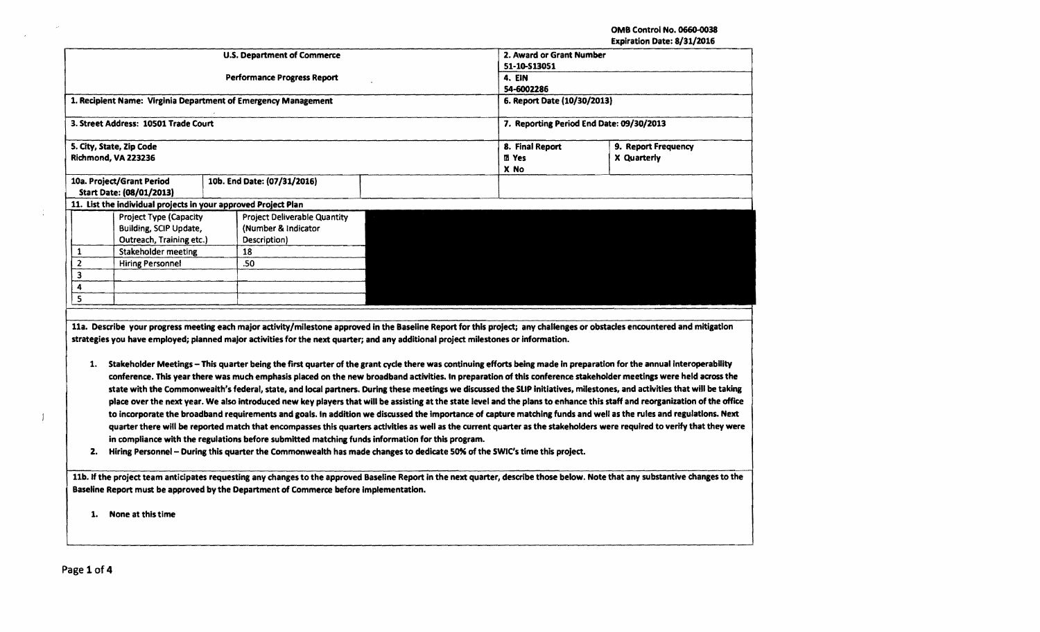## OMB Control No. 0660-0038

Expiration Date: 8/31/2016

|                         |                                                                |                                                                                       |                                                                                                                                    |                          | ryan anni Nafe: 61 971 cata                                                                                                                                                     |  |  |  |
|-------------------------|----------------------------------------------------------------|---------------------------------------------------------------------------------------|------------------------------------------------------------------------------------------------------------------------------------|--------------------------|---------------------------------------------------------------------------------------------------------------------------------------------------------------------------------|--|--|--|
|                         |                                                                | <b>U.S. Department of Commerce</b>                                                    |                                                                                                                                    | 2. Award or Grant Number |                                                                                                                                                                                 |  |  |  |
|                         |                                                                |                                                                                       |                                                                                                                                    | 51-10-513051             |                                                                                                                                                                                 |  |  |  |
|                         |                                                                | <b>Performance Progress Report</b>                                                    | 4. EIN                                                                                                                             |                          |                                                                                                                                                                                 |  |  |  |
|                         |                                                                |                                                                                       | 54-6002286                                                                                                                         |                          |                                                                                                                                                                                 |  |  |  |
|                         |                                                                | 1. Recipient Name: Virginia Department of Emergency Management                        | 6. Report Date (10/30/2013)                                                                                                        |                          |                                                                                                                                                                                 |  |  |  |
|                         | 3. Street Address: 10501 Trade Court                           |                                                                                       | 7. Reporting Period End Date: 09/30/2013                                                                                           |                          |                                                                                                                                                                                 |  |  |  |
|                         | 5. City, State, Zip Code                                       |                                                                                       |                                                                                                                                    | 8. Final Report          | 9. Report Frequency                                                                                                                                                             |  |  |  |
|                         | Richmond, VA 223236                                            |                                                                                       |                                                                                                                                    | <b>D</b> Yes             | X Quarterly                                                                                                                                                                     |  |  |  |
|                         |                                                                |                                                                                       |                                                                                                                                    | X No                     |                                                                                                                                                                                 |  |  |  |
|                         | 10a. Project/Grant Period                                      | 10b. End Date: (07/31/2016)                                                           |                                                                                                                                    |                          |                                                                                                                                                                                 |  |  |  |
|                         | Start Date: (08/01/2013)                                       |                                                                                       |                                                                                                                                    |                          |                                                                                                                                                                                 |  |  |  |
|                         | 11. List the individual projects in your approved Project Plan |                                                                                       |                                                                                                                                    |                          |                                                                                                                                                                                 |  |  |  |
|                         |                                                                |                                                                                       |                                                                                                                                    |                          |                                                                                                                                                                                 |  |  |  |
|                         | <b>Project Type (Capacity</b>                                  | <b>Project Deliverable Quantity</b>                                                   |                                                                                                                                    |                          |                                                                                                                                                                                 |  |  |  |
|                         | Building, SCIP Update,                                         | (Number & Indicator                                                                   |                                                                                                                                    |                          |                                                                                                                                                                                 |  |  |  |
|                         | Outreach, Training etc.)                                       | Description)                                                                          |                                                                                                                                    |                          |                                                                                                                                                                                 |  |  |  |
| $\pmb{1}$               | <b>Stakeholder meeting</b>                                     | 18                                                                                    |                                                                                                                                    |                          |                                                                                                                                                                                 |  |  |  |
| $\mathbf{2}$            | <b>Hiring Personnel</b>                                        | .50                                                                                   |                                                                                                                                    |                          |                                                                                                                                                                                 |  |  |  |
| 3                       |                                                                |                                                                                       |                                                                                                                                    |                          |                                                                                                                                                                                 |  |  |  |
| 4                       |                                                                |                                                                                       |                                                                                                                                    |                          |                                                                                                                                                                                 |  |  |  |
| $\overline{\mathbf{s}}$ |                                                                |                                                                                       |                                                                                                                                    |                          |                                                                                                                                                                                 |  |  |  |
|                         |                                                                |                                                                                       |                                                                                                                                    |                          |                                                                                                                                                                                 |  |  |  |
|                         |                                                                |                                                                                       |                                                                                                                                    |                          |                                                                                                                                                                                 |  |  |  |
|                         |                                                                |                                                                                       |                                                                                                                                    |                          | 11a. Describe your progress meeting each major activity/milestone approved in the Baseline Report for this project; any challenges or obstacles encountered and mitigation      |  |  |  |
|                         |                                                                |                                                                                       | strategies you have employed; planned major activities for the next quarter; and any additional project milestones or information. |                          |                                                                                                                                                                                 |  |  |  |
|                         |                                                                |                                                                                       |                                                                                                                                    |                          |                                                                                                                                                                                 |  |  |  |
| 1.                      |                                                                |                                                                                       |                                                                                                                                    |                          | Stakeholder Meetings - This quarter being the first quarter of the grant cycle there was continuing efforts being made in preparation for the annual interoperability           |  |  |  |
|                         |                                                                |                                                                                       |                                                                                                                                    |                          | conference. This year there was much emphasis placed on the new broadband activities. In preparation of this conference stakeholder meetings were held across the               |  |  |  |
|                         |                                                                |                                                                                       |                                                                                                                                    |                          | state with the Commonwealth's federal, state, and local partners. During these meetings we discussed the SLIP initiatives, milestones, and activities that will be taking       |  |  |  |
|                         |                                                                |                                                                                       |                                                                                                                                    |                          |                                                                                                                                                                                 |  |  |  |
|                         |                                                                |                                                                                       |                                                                                                                                    |                          | place over the next year. We also introduced new key players that will be assisting at the state level and the plans to enhance this staff and reorganization of the office     |  |  |  |
|                         |                                                                |                                                                                       |                                                                                                                                    |                          | to incorporate the broadband requirements and goals. In addition we discussed the importance of capture matching funds and well as the rules and regulations. Next              |  |  |  |
|                         |                                                                |                                                                                       |                                                                                                                                    |                          | quarter there will be reported match that encompasses this quarters activities as well as the current quarter as the stakeholders were required to verify that they were        |  |  |  |
|                         |                                                                |                                                                                       | in compliance with the regulations before submitted matching funds information for this program.                                   |                          |                                                                                                                                                                                 |  |  |  |
| 2.                      |                                                                |                                                                                       | Hiring Personnel - During this quarter the Commonwealth has made changes to dedicate 50% of the SWIC's time this project.          |                          |                                                                                                                                                                                 |  |  |  |
|                         |                                                                |                                                                                       |                                                                                                                                    |                          |                                                                                                                                                                                 |  |  |  |
|                         |                                                                |                                                                                       |                                                                                                                                    |                          | 11b. If the project team anticipates requesting any changes to the approved Baseline Report in the next quarter, describe those below. Note that any substantive changes to the |  |  |  |
|                         |                                                                | Baseline Report must be approved by the Department of Commerce before implementation. |                                                                                                                                    |                          |                                                                                                                                                                                 |  |  |  |
|                         |                                                                |                                                                                       |                                                                                                                                    |                          |                                                                                                                                                                                 |  |  |  |
| 1.                      | None at this time                                              |                                                                                       |                                                                                                                                    |                          |                                                                                                                                                                                 |  |  |  |
|                         |                                                                |                                                                                       |                                                                                                                                    |                          |                                                                                                                                                                                 |  |  |  |

 $\sim 100$ 

 $\frac{1}{4}$ 

 $\sim$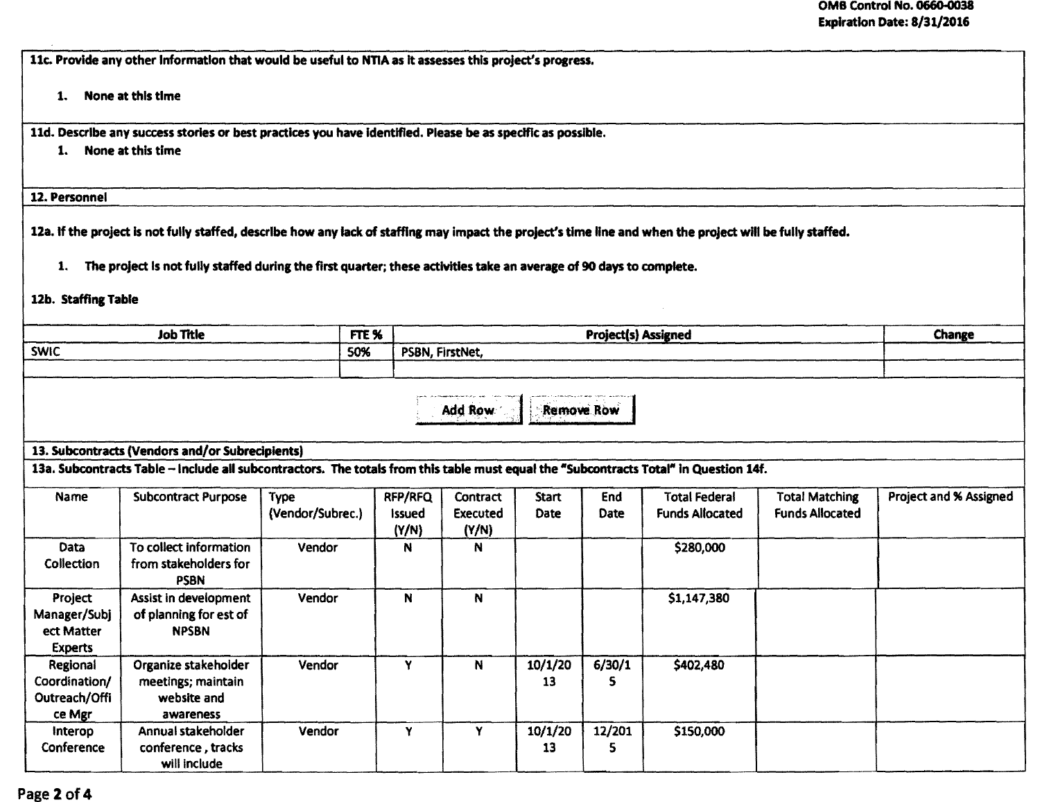11c. Provide any other Information that would be useful to NTIA as it assesses this project's progress.

1. None at this time

lld. Describe any success stories or best practices you have Identified. Please be as spedflc as possible.

1. None at this time

12. Personnel

12a. If the project is not fully staffed, describe how any lack of staffing may impact the project's time line and when the project will be fully staffed.

1. The project Is not fully staffed during the first quarter; these activities take an average of 90 days to complete.

## 12b. Staffing Table

| <b>Job Title</b> | FTE %<br>____________ | <b>Project(s) Assigned</b> | Change |
|------------------|-----------------------|----------------------------|--------|
| <b>SWIC</b>      | 50%                   | PSBN, FirstNet,            |        |
|                  |                       |                            |        |

| <b>IOVE ROW</b> |  |  | Add Row 11 P |  |  |  |  |
|-----------------|--|--|--------------|--|--|--|--|
|                 |  |  |              |  |  |  |  |
|                 |  |  |              |  |  |  |  |

13. Subcontracts (Vendors and/or SUbredplents)

13a. Subcontracts Table -Include all subcontractors. The totals from this table must equal the "Subcontracts Total" In Question 14f.

| Name                                                    | <b>Subcontract Purpose</b>                                             | Type<br>(Vendor/Subrec.) | RFP/RFQ<br>issued<br>(Y/N) | Contract<br>Executed<br>(Y/N) | <b>Start</b><br>Date | <b>End</b><br>Date | <b>Total Federal</b><br><b>Funds Allocated</b> | <b>Total Matching</b><br><b>Funds Allocated</b> | Project and % Assigned |
|---------------------------------------------------------|------------------------------------------------------------------------|--------------------------|----------------------------|-------------------------------|----------------------|--------------------|------------------------------------------------|-------------------------------------------------|------------------------|
| Data<br><b>Collection</b>                               | To collect information<br>from stakeholders for<br><b>PSBN</b>         | Vendor                   | N                          | N                             |                      |                    | \$280,000                                      |                                                 |                        |
| Project<br>Manager/Subj<br>ect Matter<br><b>Experts</b> | Assist in development<br>of planning for est of<br><b>NPSBN</b>        | Vendor                   | N                          | N                             |                      |                    | \$1,147,380                                    |                                                 |                        |
| Regional<br>Coordination/<br>Outreach/Offi<br>ce Mgr    | Organize stakeholder<br>meetings; maintain<br>website and<br>awareness | Vendor                   |                            | N                             | 10/1/20<br>13        | 6/30/1             | \$402,480                                      |                                                 |                        |
| Interop<br>Conference                                   | Annual stakeholder<br>conference, tracks<br>will include               | Vendor                   | v                          |                               | 10/1/20<br>13        | 12/201             | \$150,000                                      |                                                 |                        |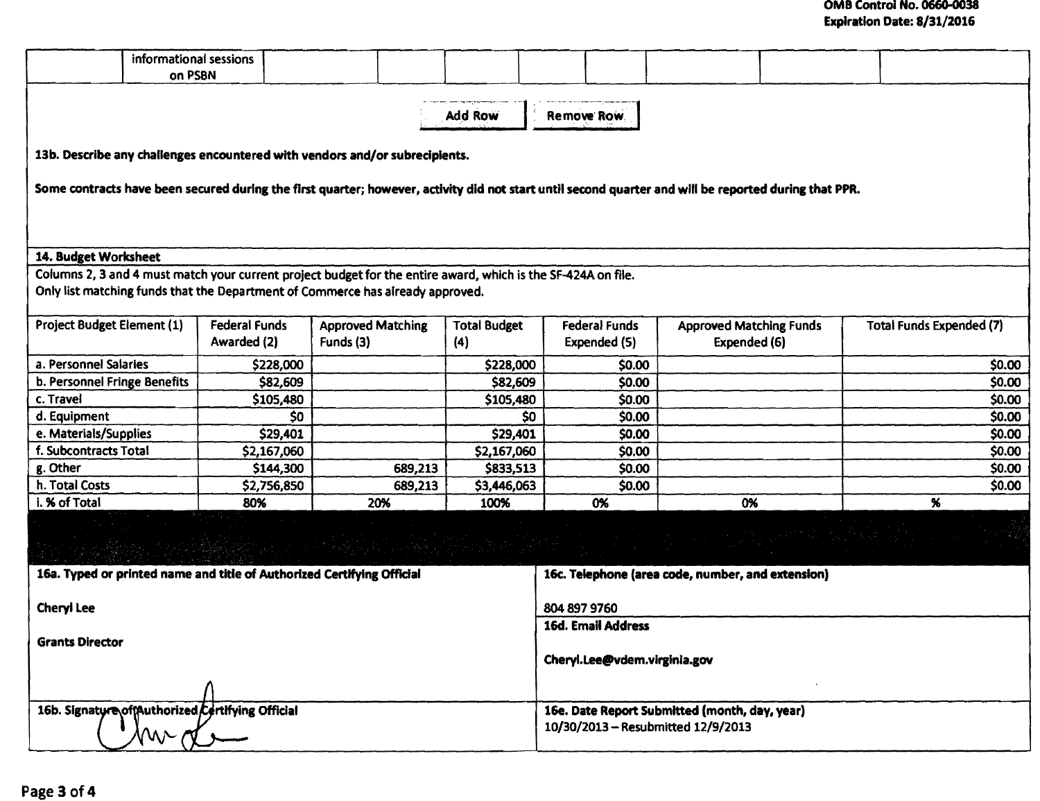|                                                                                                                                                                                                 | informational sessions<br>on PSBN                                                                                                                     |                              |                                       |         |                            |                                                                                     |                                      |                                                   |  |                                 |  |  |  |
|-------------------------------------------------------------------------------------------------------------------------------------------------------------------------------------------------|-------------------------------------------------------------------------------------------------------------------------------------------------------|------------------------------|---------------------------------------|---------|----------------------------|-------------------------------------------------------------------------------------|--------------------------------------|---------------------------------------------------|--|---------------------------------|--|--|--|
| Add Row<br>Remove Row.                                                                                                                                                                          |                                                                                                                                                       |                              |                                       |         |                            |                                                                                     |                                      |                                                   |  |                                 |  |  |  |
| 13b. Describe any challenges encountered with vendors and/or subrecipients.                                                                                                                     |                                                                                                                                                       |                              |                                       |         |                            |                                                                                     |                                      |                                                   |  |                                 |  |  |  |
|                                                                                                                                                                                                 | Some contracts have been secured during the first quarter; however, activity did not start until second quarter and will be reported during that PPR. |                              |                                       |         |                            |                                                                                     |                                      |                                                   |  |                                 |  |  |  |
|                                                                                                                                                                                                 |                                                                                                                                                       |                              |                                       |         |                            |                                                                                     |                                      |                                                   |  |                                 |  |  |  |
| 14. Budget Worksheet                                                                                                                                                                            |                                                                                                                                                       |                              |                                       |         |                            |                                                                                     |                                      |                                                   |  |                                 |  |  |  |
|                                                                                                                                                                                                 |                                                                                                                                                       |                              |                                       |         |                            |                                                                                     |                                      |                                                   |  |                                 |  |  |  |
| Columns 2, 3 and 4 must match your current project budget for the entire award, which is the SF-424A on file.<br>Only list matching funds that the Department of Commerce has already approved. |                                                                                                                                                       |                              |                                       |         |                            |                                                                                     |                                      |                                                   |  |                                 |  |  |  |
| Project Budget Element (1)                                                                                                                                                                      |                                                                                                                                                       | Federal Funds<br>Awarded (2) | <b>Approved Matching</b><br>Funds (3) |         | <b>Total Budget</b><br>(4) |                                                                                     | <b>Federal Funds</b><br>Expended (5) | <b>Approved Matching Funds</b><br>Expended (6)    |  | <b>Total Funds Expended (7)</b> |  |  |  |
| a. Personnel Salaries                                                                                                                                                                           |                                                                                                                                                       | \$228,000                    |                                       |         | \$228,000                  |                                                                                     | \$0.00                               |                                                   |  | \$0.00                          |  |  |  |
| b. Personnel Fringe Benefits                                                                                                                                                                    |                                                                                                                                                       | \$82,609                     |                                       |         | \$82,609                   |                                                                                     | \$0.00                               |                                                   |  | \$0.00                          |  |  |  |
| c. Travel                                                                                                                                                                                       |                                                                                                                                                       | \$105,480                    |                                       |         | \$105,480                  |                                                                                     | \$0.00                               |                                                   |  | \$0.00                          |  |  |  |
| d. Equipment                                                                                                                                                                                    |                                                                                                                                                       | \$0                          |                                       |         |                            | \$0                                                                                 | \$0.00                               |                                                   |  | \$0.00                          |  |  |  |
| e. Materials/Supplies                                                                                                                                                                           |                                                                                                                                                       | \$29,401                     |                                       |         | \$29,401                   |                                                                                     | \$0.00                               |                                                   |  | \$0.00                          |  |  |  |
| f. Subcontracts Total                                                                                                                                                                           |                                                                                                                                                       | \$2,167,060                  |                                       |         | \$2,167,060                |                                                                                     | \$0.00                               |                                                   |  | \$0.00                          |  |  |  |
| g. Other                                                                                                                                                                                        |                                                                                                                                                       | \$144,300                    |                                       | 689,213 | \$833,513                  |                                                                                     | \$0.00                               |                                                   |  | \$0.00                          |  |  |  |
| h. Total Costs                                                                                                                                                                                  |                                                                                                                                                       | \$2,756,850                  |                                       | 689,213 | \$3,446,063                |                                                                                     | \$0.00                               |                                                   |  | \$0.00                          |  |  |  |
| i. % of Total                                                                                                                                                                                   |                                                                                                                                                       | 80%                          | 20%                                   |         | 100%                       |                                                                                     | 0%                                   | 0%                                                |  | %                               |  |  |  |
|                                                                                                                                                                                                 |                                                                                                                                                       |                              |                                       |         |                            |                                                                                     |                                      |                                                   |  |                                 |  |  |  |
|                                                                                                                                                                                                 | 16a. Typed or printed name and title of Authorized Certifying Official                                                                                |                              |                                       |         |                            |                                                                                     |                                      | 16c. Telephone (area code, number, and extension) |  |                                 |  |  |  |
| <b>Cheryl Lee</b>                                                                                                                                                                               |                                                                                                                                                       |                              |                                       |         |                            | 804 897 9760                                                                        |                                      |                                                   |  |                                 |  |  |  |
|                                                                                                                                                                                                 |                                                                                                                                                       |                              |                                       |         |                            | 16d. Email Address                                                                  |                                      |                                                   |  |                                 |  |  |  |
| <b>Grants Director</b>                                                                                                                                                                          |                                                                                                                                                       |                              |                                       |         |                            |                                                                                     | Cheryl.Lee@vdem.virginia.gov         |                                                   |  |                                 |  |  |  |
|                                                                                                                                                                                                 |                                                                                                                                                       |                              |                                       |         |                            |                                                                                     |                                      |                                                   |  |                                 |  |  |  |
| 16b. Signature of Authorized Certifying Official<br>M                                                                                                                                           |                                                                                                                                                       |                              |                                       |         |                            | 16e. Date Report Submitted (month, day, year)<br>10/30/2013 - Resubmitted 12/9/2013 |                                      |                                                   |  |                                 |  |  |  |